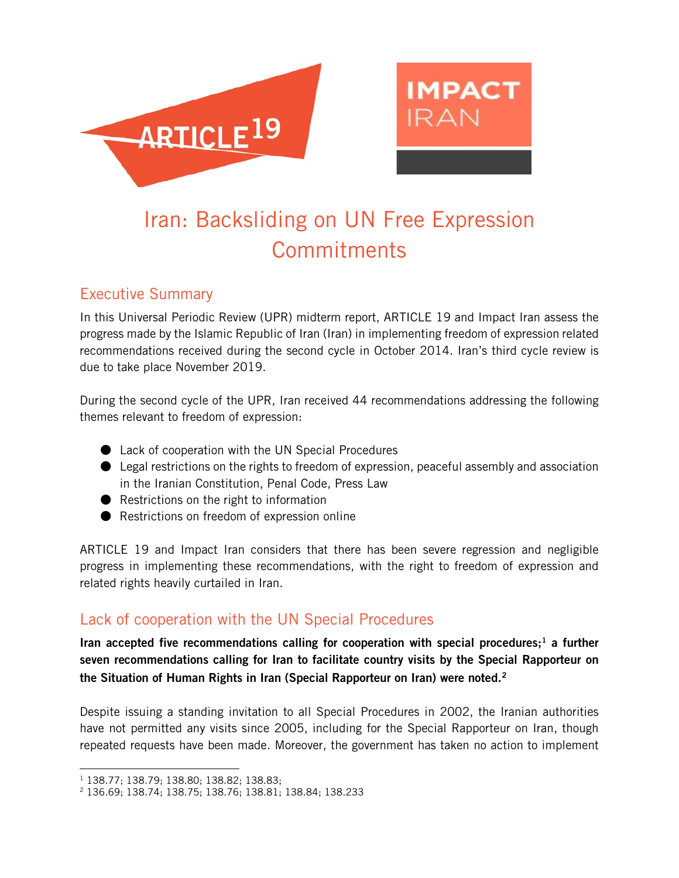



# Iran: Backsliding on UN Free Expression **Commitments**

## Executive Summary

In this Universal Periodic Review (UPR) midterm report, ARTICLE 19 and Impact Iran assess the progress made by the Islamic Republic of Iran (Iran) in implementing freedom of expression related recommendations received during the second cycle in October 2014. Iran's third cycle review is due to take place November 2019.

During the second cycle of the UPR, Iran received 44 recommendations addressing the following themes relevant to freedom of expression:

- Lack of cooperation with the UN Special Procedures
- $\bullet$  Legal restrictions on the rights to freedom of expression, peaceful assembly and association in the Iranian Constitution, Penal Code, Press Law
- Restrictions on the right to information
- Restrictions on freedom of expression online

ARTICLE 19 and Impact Iran considers that there has been severe regression and negligible progress in implementing these recommendations, with the right to freedom of expression and related rights heavily curtailed in Iran.

## Lack of cooperation with the UN Special Procedures

Iran accepted five recommendations calling for cooperation with special procedures;<sup>[1](#page-0-0)</sup> a further seven recommendations calling for Iran to facilitate country visits by the Special Rapporteur on the Situation of Human Rights in Iran (Special Rapporteur on Iran) were noted.<sup>[2](#page-0-1)</sup>

Despite issuing a standing invitation to all Special Procedures in 2002, the Iranian authorities have not permitted any visits since 2005, including for the Special Rapporteur on Iran, though repeated requests have been made. Moreover, the government has taken no action to implement

 $\overline{a}$ <sup>1</sup> 138.77; 138.79; 138.80; 138.82; 138.83;

<span id="page-0-1"></span><span id="page-0-0"></span><sup>2</sup> 136.69; 138.74; 138.75; 138.76; 138.81; 138.84; 138.233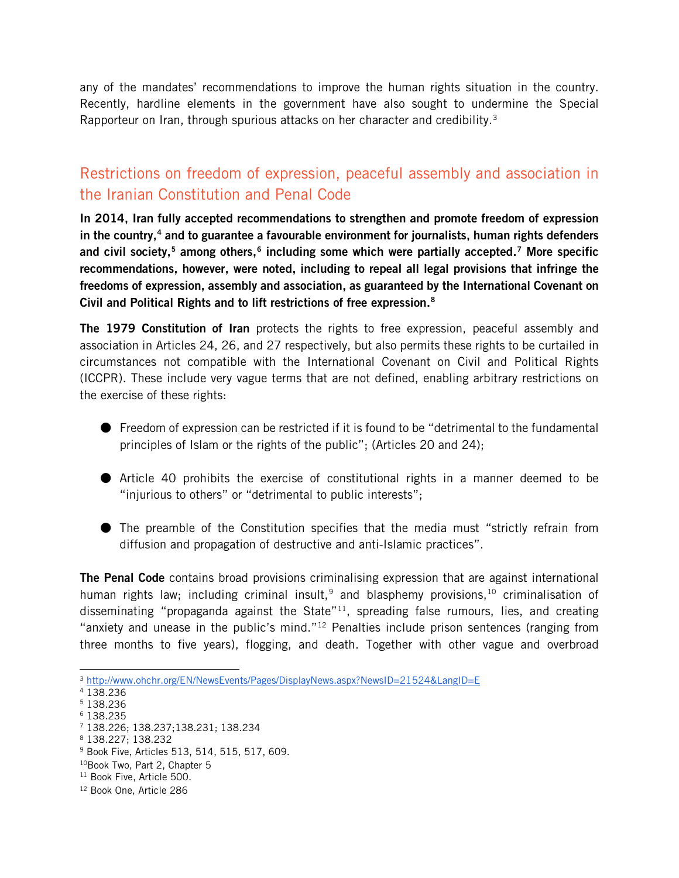any of the mandates' recommendations to improve the human rights situation in the country. Recently, hardline elements in the government have also sought to undermine the Special Rapporteur on Iran, through spurious attacks on her character and credibility.<sup>[3](#page-1-0)</sup>

## Restrictions on freedom of expression, peaceful assembly and association in the Iranian Constitution and Penal Code

In 2014, Iran fully accepted recommendations to strengthen and promote freedom of expression in the country,<sup>[4](#page-1-1)</sup> and to guarantee a favourable environment for journalists, human rights defenders and civil society,<sup>[5](#page-1-2)</sup> among others,<sup>[6](#page-1-3)</sup> including some which were partially accepted.<sup>[7](#page-1-4)</sup> More specific recommendations, however, were noted, including to repeal all legal provisions that infringe the freedoms of expression, assembly and association, as guaranteed by the International Covenant on Civil and Political Rights and to lift restrictions of free expression.[8](#page-1-5)

The 1979 Constitution of Iran protects the rights to free expression, peaceful assembly and association in Articles 24, 26, and 27 respectively, but also permits these rights to be curtailed in circumstances not compatible with the International Covenant on Civil and Political Rights (ICCPR). These include very vague terms that are not defined, enabling arbitrary restrictions on the exercise of these rights:

- Freedom of expression can be restricted if it is found to be "detrimental to the fundamental principles of Islam or the rights of the public"; (Articles 20 and 24);
- Article 40 prohibits the exercise of constitutional rights in a manner deemed to be "injurious to others" or "detrimental to public interests";
- The preamble of the Constitution specifies that the media must "strictly refrain from diffusion and propagation of destructive and anti-Islamic practices".

The Penal Code contains broad provisions criminalising expression that are against international human rights law; including criminal insult,<sup>[9](#page-1-6)</sup> and blasphemy provisions.<sup>[10](#page-1-7)</sup> criminalisation of disseminating "propaganda against the State"<sup>[11](#page-1-8)</sup>, spreading false rumours, lies, and creating "anxiety and unease in the public's mind."<sup>[12](#page-1-9)</sup> Penalties include prison sentences (ranging from three months to five years), flogging, and death. Together with other vague and overbroad

<span id="page-1-0"></span> $\overline{a}$ <sup>3</sup> <http://www.ohchr.org/EN/NewsEvents/Pages/DisplayNews.aspx?NewsID=21524&LangID=E>

<span id="page-1-1"></span><sup>4</sup> 138.236

<span id="page-1-2"></span><sup>5</sup> 138.236

<span id="page-1-3"></span><sup>6</sup> 138.235

<span id="page-1-4"></span><sup>7</sup> 138.226; 138.237;138.231; 138.234

<span id="page-1-5"></span><sup>8</sup> 138.227; 138.232

<span id="page-1-6"></span><sup>9</sup> Book Five, Articles 513, 514, 515, 517, 609.

<span id="page-1-7"></span><sup>10</sup>Book Two, Part 2, Chapter 5

<span id="page-1-8"></span><sup>&</sup>lt;sup>11</sup> Book Five, Article 500.

<span id="page-1-9"></span><sup>&</sup>lt;sup>12</sup> Book One, Article 286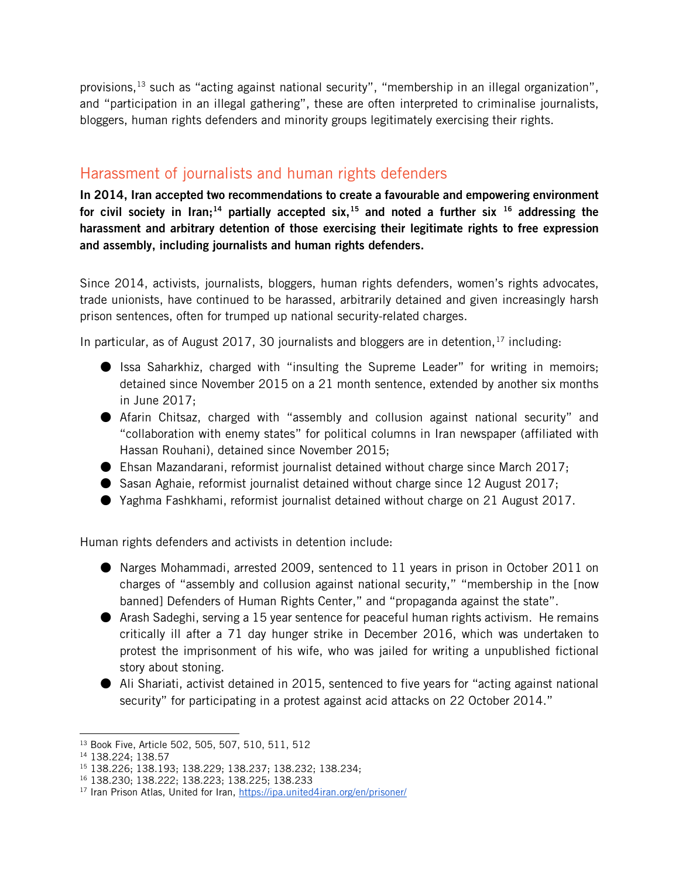provisions,  $13$  such as "acting against national security", "membership in an illegal organization", and "participation in an illegal gathering", these are often interpreted to criminalise journalists, bloggers, human rights defenders and minority groups legitimately exercising their rights.

# Harassment of journalists and human rights defenders

In 2014, Iran accepted two recommendations to create a favourable and empowering environment for civil society in Iran;<sup>[14](#page-2-1)</sup> partially accepted six,<sup>[15](#page-2-2)</sup> and noted a further six <sup>[16](#page-2-3)</sup> addressing the harassment and arbitrary detention of those exercising their legitimate rights to free expression and assembly, including journalists and human rights defenders.

Since 2014, activists, journalists, bloggers, human rights defenders, women's rights advocates, trade unionists, have continued to be harassed, arbitrarily detained and given increasingly harsh prison sentences, often for trumped up national security-related charges.

In particular, as of August 20[17](#page-2-4), 30 journalists and bloggers are in detention,  $17$  including:

- Issa Saharkhiz[,](https://www.iranhumanrights.org/2016/09/afarin-chitsaz-2/) charged with "insulting the Supreme Leader" for writing in memoirs; detained since November 2015 on a 21 month sentence, extended by another six months in June 2017;
- Afarin Chitsaz[,](https://www.iranhumanrights.org/2017/02/tahereh-riahi-editor-of-state-funded-news-agency-remains-detained/) charged with "assembly and collusion against national security" and "collaboration with enemy states" for political columns in Iran newspaper (affiliated with Hassan Rouhani), detained since November 2015;
- $\bullet$  Ehsan Mazandarani, reformist journalist detained without charge since March 2017;
- Sasan Aghaie, reformist journalist detained without charge since 12 August 2017;
- Yaghma Fashkhami, reformist journalist detained without charge on 21 August 2017.

Human rights defenders and activists in detention include:

- Narges Mohammadi, arrested 2009, sentenced to 11 years in prison in October 2011 on charges of "assembly and collusion against national security," "membership in the [now banned] Defenders of Human Rights Center," and "propaganda against the state".
- Arash Sadeghi, serving a 15 year sentence for peaceful human rights activism. He remains critically ill after a 71 day hunger strike in December 2016, which was undertaken to protest the imprisonment of his wife, who was jailed for writing a unpublished fictional story about stoning.
- Ali Shariati, activist detained in 2015, sentenced to five years for "acting against national security" for participating in a protest against acid attacks on 22 October 2014."

 $\overline{a}$ <sup>13</sup> Book Five, Article 502, 505, 507, 510, 511, 512

<span id="page-2-1"></span><span id="page-2-0"></span><sup>14</sup> 138.224; 138.57

<span id="page-2-2"></span><sup>15</sup> 138.226; 138.193; 138.229; 138.237; 138.232; 138.234;

<span id="page-2-3"></span><sup>16</sup> 138.230; 138.222; 138.223; 138.225; 138.233

<span id="page-2-4"></span><sup>17</sup> Iran Prison Atlas, United for Iran,<https://ipa.united4iran.org/en/prisoner/>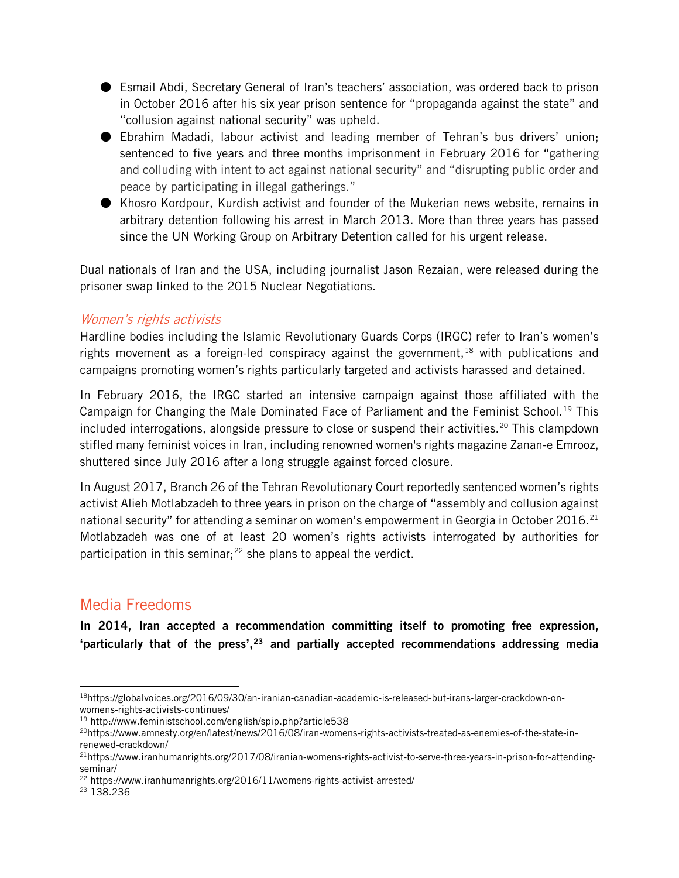- Esmail Abdi, Secretary General of Iran's teachers' association, was ordered back to prison in October 2016 after his six year prison sentence for "propaganda against the state" and "collusion against national security" was upheld.
- Ebrahim Madadi, labour activist and leading member of Tehran's bus drivers' union; sentenced to five years and three months imprisonment in February 2016 for "gathering and colluding with intent to act against national security" and "disrupting public order and peace by participating in illegal gatherings."
- Khosro Kordpour, Kurdish activist and founder of the Mukerian news website, remains in arbitrary detention following his arrest in March 2013. More than three years has passed since the UN Working Group on Arbitrary Detention called for his urgent release.

Dual nationals of Iran and the USA, including journalist Jason Rezaian, were released during the prisoner swap linked to the 2015 Nuclear Negotiations.

#### Women's rights activists

Hardline bodies including the Islamic Revolutionary Guards Corps (IRGC) refer to Iran's women's rights movement as a foreign-led conspiracy against the government,  $18$  with publications and campaigns promoting women's rights particularly targeted and activists harassed and detained.

In February 2016, the IRGC started an intensive campaign against those affiliated with the Campaign for Changing the Male Dominated Face of Parliament and the Feminist School.<sup>[19](#page-3-1)</sup> This included interrogations, alongside pressure to close or suspend their activities.<sup>[20](#page-3-2)</sup> This clampdown stifled many feminist voices in Iran, including renowned women's rights magazine Zanan-e Emrooz, shuttered since July 2016 after a long struggle against forced closure.

In August 2017, Branch 26 of the Tehran Revolutionary Court reportedly sentenced women's rights activist Alieh Motlabzadeh to three years in prison on the charge of "assembly and collusion against national security" for attending a seminar on women's empowerment in Georgia in October 2016.<sup>[21](#page-3-3)</sup> Motlabzadeh was one of at least 20 women's rights activists interrogated by authorities for participation in this seminar;<sup>[22](#page-3-4)</sup> she plans to appeal the verdict.

## Media Freedoms

In 2014, Iran accepted a recommendation committing itself to promoting free expression, 'particularly that of the press', $23$  and partially accepted recommendations addressing media

<span id="page-3-0"></span> $\overline{a}$ 18https://globalvoices.org/2016/09/30/an-iranian-canadian-academic-is-released-but-irans-larger-crackdown-onwomens-rights-activists-continues/

<span id="page-3-1"></span><sup>19</sup> http://www.feministschool.com/english/spip.php?article538

<span id="page-3-2"></span><sup>20</sup>https://www.amnesty.org/en/latest/news/2016/08/iran-womens-rights-activists-treated-as-enemies-of-the-state-inrenewed-crackdown/

<span id="page-3-3"></span><sup>21</sup>https://www.iranhumanrights.org/2017/08/iranian-womens-rights-activist-to-serve-three-years-in-prison-for-attendingseminar/

<span id="page-3-4"></span><sup>22</sup> https://www.iranhumanrights.org/2016/11/womens-rights-activist-arrested/

<span id="page-3-5"></span><sup>23</sup> 138.236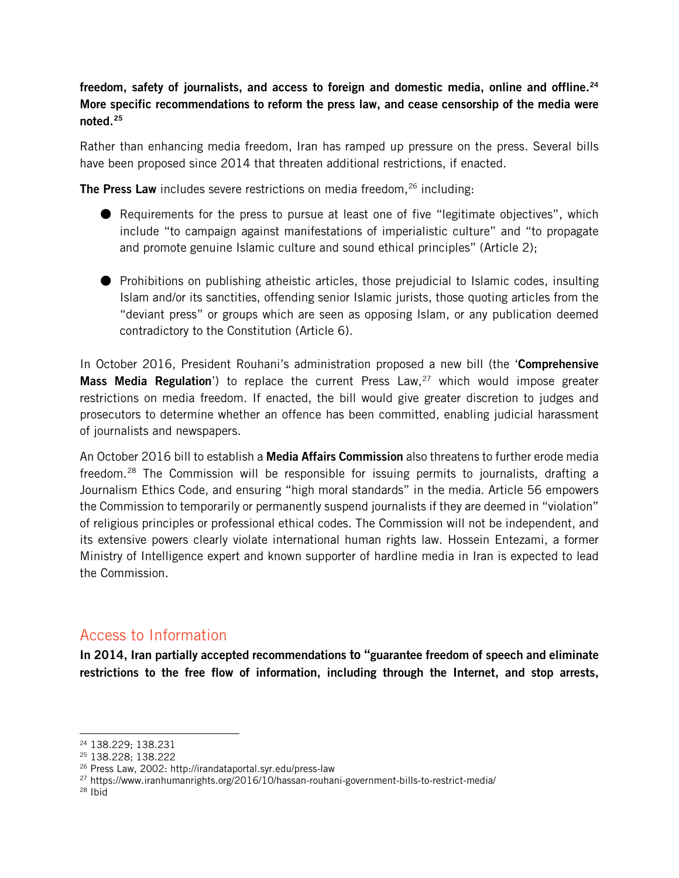#### freedom, safety of journalists, and access to foreign and domestic media, online and offline.<sup>[24](#page-4-0)</sup> More specific recommendations to reform the press law, and cease censorship of the media were noted.[25](#page-4-1)

Rather than enhancing media freedom, Iran has ramped up pressure on the press. Several bills have been proposed since 2014 that threaten additional restrictions, if enacted.

The Press Law includes severe restrictions on media freedom, $26$  including:

- Requirements for the press to pursue at least one of five "legitimate objectives", which include "to campaign against manifestations of imperialistic culture" and "to propagate and promote genuine Islamic culture and sound ethical principles" (Article 2);
- Prohibitions on publishing atheistic articles, those prejudicial to Islamic codes, insulting Islam and/or its sanctities, offending senior Islamic jurists, those quoting articles from the "deviant press" or groups which are seen as opposing Islam, or any publication deemed contradictory to the Constitution (Article 6).

In October 2016, President Rouhani's administration proposed a new bill (the 'Comprehensive Mass Media Regulation') to replace the current Press Law, $27$  which would impose greater restrictions on media freedom. If enacted, the bill would give greater discretion to judges and prosecutors to determine whether an offence has been committed, enabling judicial harassment of journalists and newspapers.

An October 2016 bill to establish a **Media Affairs Commission** also threatens to further erode media freedom.<sup>[28](#page-4-4)</sup> The Commission will be responsible for issuing permits to journalists, drafting a Journalism Ethics Code, and ensuring "high moral standards" in the media. Article 56 empowers the Commission to temporarily or permanently suspend journalists if they are deemed in "violation" of religious principles or professional ethical codes. The Commission will not be independent, and its extensive powers clearly violate international human rights law. Hossein Entezami, a former Ministry of Intelligence expert and known supporter of hardline media in Iran is expected to lead the Commission.

## Access to Information

In 2014, Iran partially accepted recommendations to "guarantee freedom of speech and eliminate restrictions to the free flow of information, including through the Internet, and stop arrests,

<span id="page-4-0"></span> $\overline{a}$ <sup>24</sup> 138.229; 138.231

<span id="page-4-1"></span><sup>25</sup> 138.228; 138.222

<span id="page-4-2"></span><sup>26</sup> Press Law, 2002: http://irandataportal.syr.edu/press-law

<span id="page-4-3"></span><sup>27</sup> https://www.iranhumanrights.org/2016/10/hassan-rouhani-government-bills-to-restrict-media/

<span id="page-4-4"></span><sup>28</sup> Ibid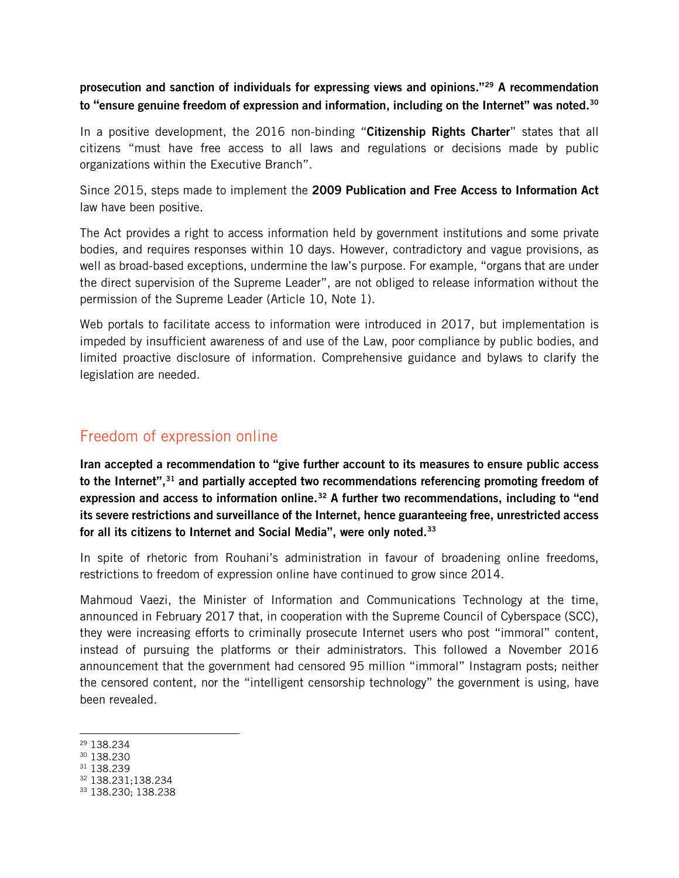#### prosecution and sanction of individuals for expressing views and opinions."[29](#page-5-0) A recommendation to "ensure genuine freedom of expression and information, including on the Internet" was noted.<sup>[30](#page-5-1)</sup>

In a positive development, the 2016 non-binding "Citizenship Rights Charter" states that all citizens "must have free access to all laws and regulations or decisions made by public organizations within the Executive Branch".

Since 2015, steps made to implement the 2009 Publication and Free Access to Information Act law have been positive.

The Act provides a right to access information held by government institutions and some private bodies, and requires responses within 10 days. However, contradictory and vague provisions, as well as broad-based exceptions, undermine the law's purpose. For example, "organs that are under the direct supervision of the Supreme Leader", are not obliged to release information without the permission of the Supreme Leader (Article 10, Note 1).

Web portals to facilitate access to information were introduced in 2017, but implementation is impeded by insufficient awareness of and use of the Law, poor compliance by public bodies, and limited proactive disclosure of information. Comprehensive guidance and bylaws to clarify the legislation are needed.

### Freedom of expression online

Iran accepted a recommendation to "give further account to its measures to ensure public access to the Internet",<sup>[31](#page-5-2)</sup> and partially accepted two recommendations referencing promoting freedom of expression and access to information online.<sup>[32](#page-5-3)</sup> A further two recommendations, including to "end its severe restrictions and surveillance of the Internet, hence guaranteeing free, unrestricted access for all its citizens to Internet and Social Media", were only noted.<sup>[33](#page-5-4)</sup>

In spite of rhetoric from Rouhani's administration in favour of broadening online freedoms, restrictions to freedom of expression online have continued to grow since 2014.

Mahmoud Vaezi, the Minister of Information and Communications Technology at the time, announced in February 2017 that, in cooperation with the Supreme Council of Cyberspace (SCC), they were increasing efforts to criminally prosecute Internet users who post "immoral" content, instead of pursuing the platforms or their administrators. This followed a November 2016 announcement that the government had censored 95 million "immoral" Instagram posts; neither the censored content, nor the "intelligent censorship technology" the government is using, have been revealed.

<span id="page-5-3"></span><sup>32</sup> 138.231;138.234

 $\overline{a}$ <sup>29</sup> 138.234

<span id="page-5-1"></span><span id="page-5-0"></span><sup>30</sup> 138.230

<span id="page-5-2"></span><sup>31</sup> 138.239

<span id="page-5-4"></span><sup>33</sup> 138.230; 138.238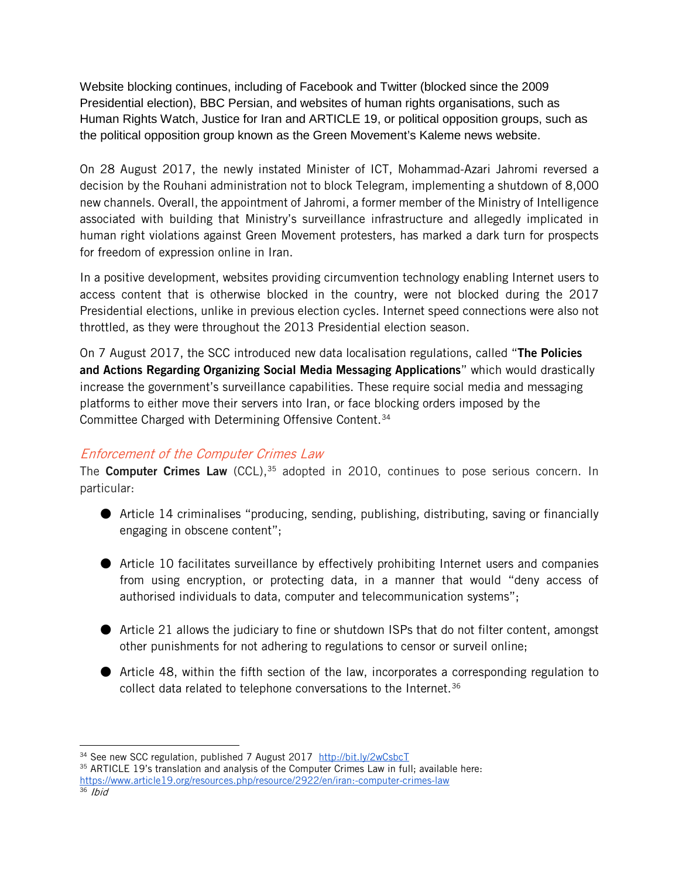Website blocking continues, including of Facebook and Twitter (blocked since the 2009 Presidential election), BBC Persian, and websites of human rights organisations, such as Human Rights Watch, Justice for Iran and ARTICLE 19, or political opposition groups, such as the political opposition group known as the Green Movement's Kaleme news website.

On 28 August 2017, the newly instated Minister of ICT, Mohammad-Azari Jahromi reversed a decision by the Rouhani administration not to block Telegram, implementing a shutdown of 8,000 new channels. Overall, the appointment of Jahromi, a former member of the Ministry of Intelligence associated with building that Ministry's surveillance infrastructure and allegedly implicated in human right violations against Green Movement protesters, has marked a dark turn for prospects for freedom of expression online in Iran.

In a positive development, websites providing circumvention technology enabling Internet users to access content that is otherwise blocked in the country, were not blocked during the 2017 Presidential elections, unlike in previous election cycles. Internet speed connections were also not throttled, as they were throughout the 2013 Presidential election season.

On 7 August 2017, the SCC introduced new data localisation regulations, called "The Policies" and Actions Regarding Organizing Social Media Messaging Applications" which would drastically increase the government's surveillance capabilities. These require social media and messaging platforms to either move their servers into Iran, or face blocking orders imposed by the Committee Charged with Determining Offensive Content[.34](#page-6-0)

#### Enforcement of the Computer Crimes Law

The Computer Crimes Law (CCL), $35$  adopted in 2010, continues to pose serious concern. In particular:

- Article 14 criminalises "producing, sending, publishing, distributing, saving or financially engaging in obscene content";
- Article 10 facilitates surveillance by effectively prohibiting Internet users and companies from using encryption, or protecting data, in a manner that would "deny access of authorised individuals to data, computer and telecommunication systems";
- Article 21 allows the judiciary to fine or shutdown ISPs that do not filter content, amongst other punishments for not adhering to regulations to censor or surveil online;
- Article 48, within the fifth section of the law, incorporates a corresponding regulation to collect data related to telephone conversations to the Internet.<sup>[36](#page-6-2)</sup>

 $\overline{a}$ 

<span id="page-6-0"></span><sup>&</sup>lt;sup>34</sup> See new SCC regulation, published 7 August 2017 <http://bit.ly/2wCsbcT>

<span id="page-6-1"></span><sup>35</sup> ARTICLE 19's translation and analysis of the Computer Crimes Law in full; available here: <https://www.article19.org/resources.php/resource/2922/en/iran:-computer-crimes-law>

<span id="page-6-2"></span> $36$  *Ibid*